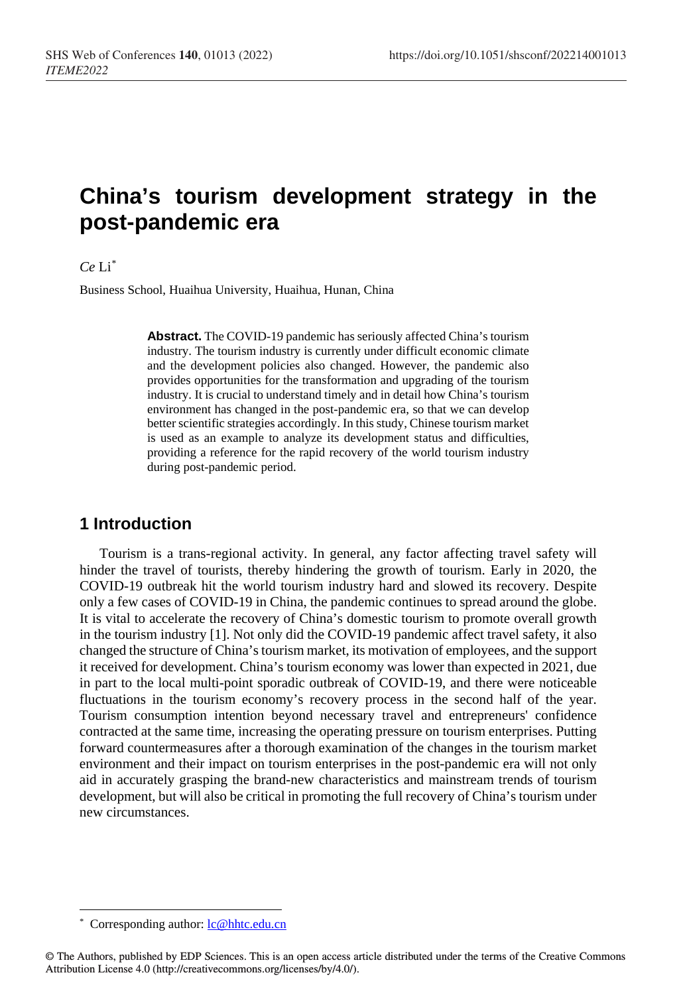# **China's tourism development strategy in the post-pandemic era**

#### *Ce* Li[\\*](#page-0-0)

Business School, Huaihua University, Huaihua, Hunan, China

**Abstract.** The COVID-19 pandemic has seriously affected China's tourism industry. The tourism industry is currently under difficult economic climate and the development policies also changed. However, the pandemic also provides opportunities for the transformation and upgrading of the tourism industry. It is crucial to understand timely and in detail how China's tourism environment has changed in the post-pandemic era, so that we can develop better scientific strategies accordingly. In this study, Chinese tourism market is used as an example to analyze its development status and difficulties, providing a reference for the rapid recovery of the world tourism industry during post-pandemic period.

### **1 Introduction**

Tourism is a trans-regional activity. In general, any factor affecting travel safety will hinder the travel of tourists, thereby hindering the growth of tourism. Early in 2020, the COVID-19 outbreak hit the world tourism industry hard and slowed its recovery. Despite only a few cases of COVID-19 in China, the pandemic continues to spread around the globe. It is vital to accelerate the recovery of China's domestic tourism to promote overall growth in the tourism industry [1]. Not only did the COVID-19 pandemic affect travel safety, it also changed the structure of China's tourism market, its motivation of employees, and the support it received for development. China's tourism economy was lower than expected in 2021, due in part to the local multi-point sporadic outbreak of COVID-19, and there were noticeable fluctuations in the tourism economy's recovery process in the second half of the year. Tourism consumption intention beyond necessary travel and entrepreneurs' confidence contracted at the same time, increasing the operating pressure on tourism enterprises. Putting forward countermeasures after a thorough examination of the changes in the tourism market environment and their impact on tourism enterprises in the post-pandemic era will not only aid in accurately grasping the brand-new characteristics and mainstream trends of tourism development, but will also be critical in promoting the full recovery of China's tourism under new circumstances.

 $\overline{a}$ 

Corresponding author[: lc@hhtc.edu.cn](mailto:lc@hhtc.edu.cn)

<span id="page-0-0"></span><sup>©</sup> The Authors, published by EDP Sciences. This is an open access article distributed under the terms of the Creative Commons Attribution License 4.0 (http://creativecommons.org/licenses/by/4.0/).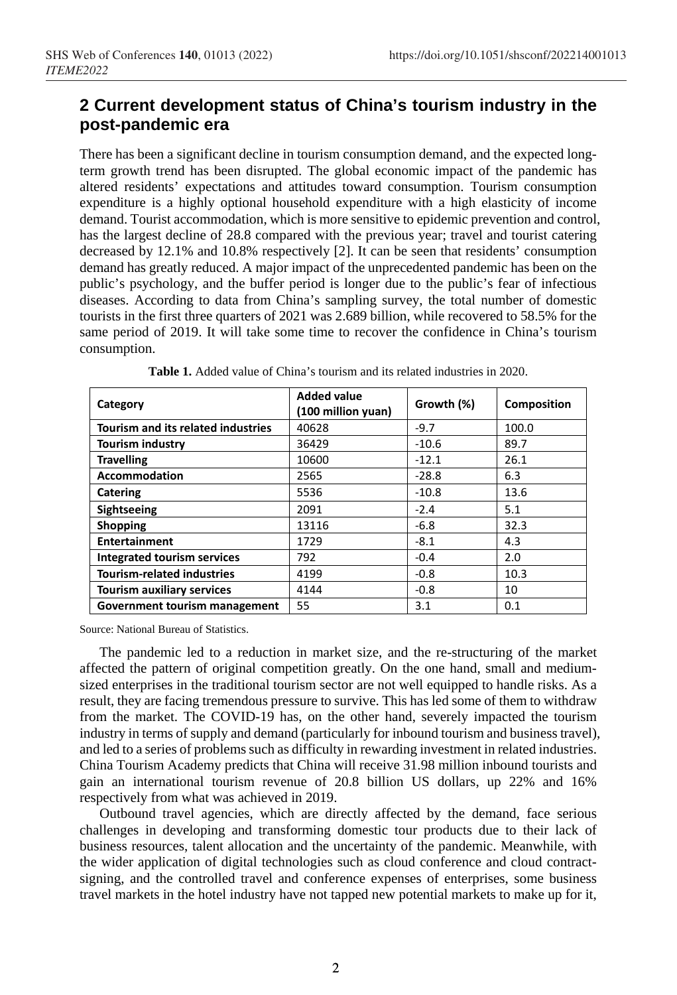# **2 Current development status of China's tourism industry in the post-pandemic era**

There has been a significant decline in tourism consumption demand, and the expected longterm growth trend has been disrupted. The global economic impact of the pandemic has altered residents' expectations and attitudes toward consumption. Tourism consumption expenditure is a highly optional household expenditure with a high elasticity of income demand. Tourist accommodation, which is more sensitive to epidemic prevention and control, has the largest decline of 28.8 compared with the previous year; travel and tourist catering decreased by 12.1% and 10.8% respectively [2]. It can be seen that residents' consumption demand has greatly reduced. A major impact of the unprecedented pandemic has been on the public's psychology, and the buffer period is longer due to the public's fear of infectious diseases. According to data from China's sampling survey, the total number of domestic tourists in the first three quarters of 2021 was 2.689 billion, while recovered to 58.5% for the same period of 2019. It will take some time to recover the confidence in China's tourism consumption.

| Category                                  | <b>Added value</b><br>(100 million yuan) | Growth (%) | <b>Composition</b> |
|-------------------------------------------|------------------------------------------|------------|--------------------|
| <b>Tourism and its related industries</b> | 40628                                    | $-9.7$     | 100.0              |
| <b>Tourism industry</b>                   | 36429                                    | $-10.6$    | 89.7               |
| <b>Travelling</b>                         | 10600                                    | $-12.1$    | 26.1               |
| <b>Accommodation</b>                      | 2565                                     | $-28.8$    | 6.3                |
| Catering                                  | 5536                                     | $-10.8$    | 13.6               |
| <b>Sightseeing</b>                        | 2091                                     | $-2.4$     | 5.1                |
| <b>Shopping</b>                           | 13116                                    | $-6.8$     | 32.3               |
| <b>Entertainment</b>                      | 1729                                     | $-8.1$     | 4.3                |
| <b>Integrated tourism services</b>        | 792                                      | $-0.4$     | 2.0                |
| <b>Tourism-related industries</b>         | 4199                                     | $-0.8$     | 10.3               |
| <b>Tourism auxiliary services</b>         | 4144                                     | $-0.8$     | 10                 |
| Government tourism management             | 55                                       | 3.1        | 0.1                |

**Table 1.** Added value of China's tourism and its related industries in 2020.

Source: National Bureau of Statistics.

The pandemic led to a reduction in market size, and the re-structuring of the market affected the pattern of original competition greatly. On the one hand, small and mediumsized enterprises in the traditional tourism sector are not well equipped to handle risks. As a result, they are facing tremendous pressure to survive. This has led some of them to withdraw from the market. The COVID-19 has, on the other hand, severely impacted the tourism industry in terms of supply and demand (particularly for inbound tourism and business travel), and led to a series of problems such as difficulty in rewarding investment in related industries. China Tourism Academy predicts that China will receive 31.98 million inbound tourists and gain an international tourism revenue of 20.8 billion US dollars, up 22% and 16% respectively from what was achieved in 2019.

Outbound travel agencies, which are directly affected by the demand, face serious challenges in developing and transforming domestic tour products due to their lack of business resources, talent allocation and the uncertainty of the pandemic. Meanwhile, with the wider application of digital technologies such as cloud conference and cloud contractsigning, and the controlled travel and conference expenses of enterprises, some business travel markets in the hotel industry have not tapped new potential markets to make up for it,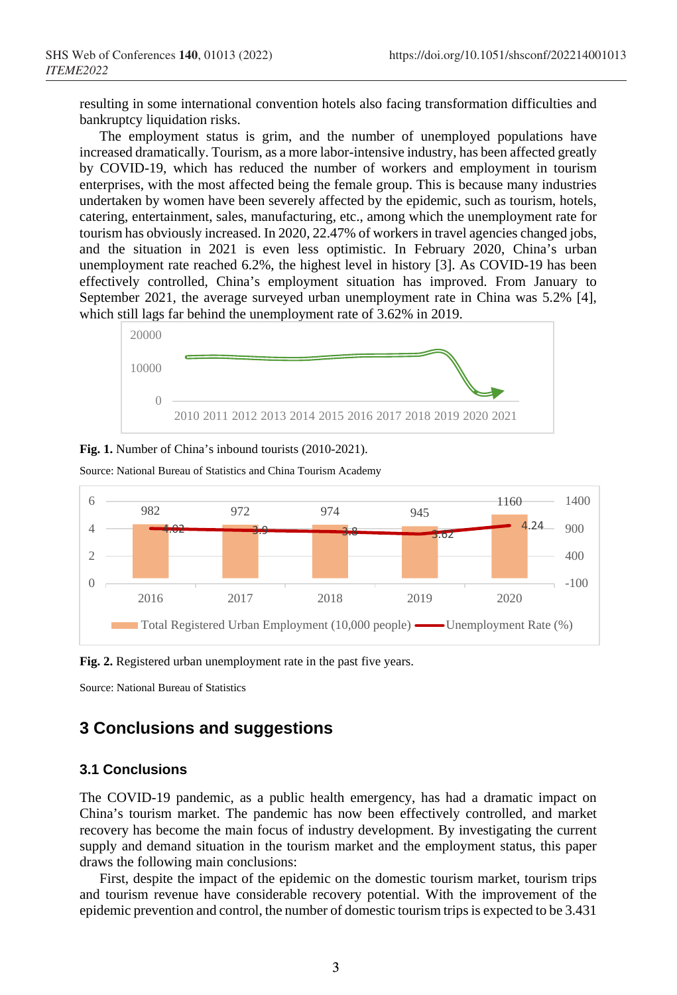resulting in some international convention hotels also facing transformation difficulties and bankruptcy liquidation risks.

The employment status is grim, and the number of unemployed populations have increased dramatically. Tourism, as a more labor-intensive industry, has been affected greatly by COVID-19, which has reduced the number of workers and employment in tourism enterprises, with the most affected being the female group. This is because many industries undertaken by women have been severely affected by the epidemic, such as tourism, hotels, catering, entertainment, sales, manufacturing, etc., among which the unemployment rate for tourism has obviously increased. In 2020, 22.47% of workers in travel agencies changed jobs, and the situation in 2021 is even less optimistic. In February 2020, China's urban unemployment rate reached 6.2%, the highest level in history [3]. As COVID-19 has been effectively controlled, China's employment situation has improved. From January to September 2021, the average surveyed urban unemployment rate in China was 5.2% [4], which still lags far behind the unemployment rate of 3.62% in 2019.







Source: National Bureau of Statistics and China Tourism Academy

**Fig. 2.** Registered urban unemployment rate in the past five years.

Source: National Bureau of Statistics

# **3 Conclusions and suggestions**

### **3.1 Conclusions**

The COVID-19 pandemic, as a public health emergency, has had a dramatic impact on China's tourism market. The pandemic has now been effectively controlled, and market recovery has become the main focus of industry development. By investigating the current supply and demand situation in the tourism market and the employment status, this paper draws the following main conclusions:

First, despite the impact of the epidemic on the domestic tourism market, tourism trips and tourism revenue have considerable recovery potential. With the improvement of the epidemic prevention and control, the number of domestic tourism trips is expected to be 3.431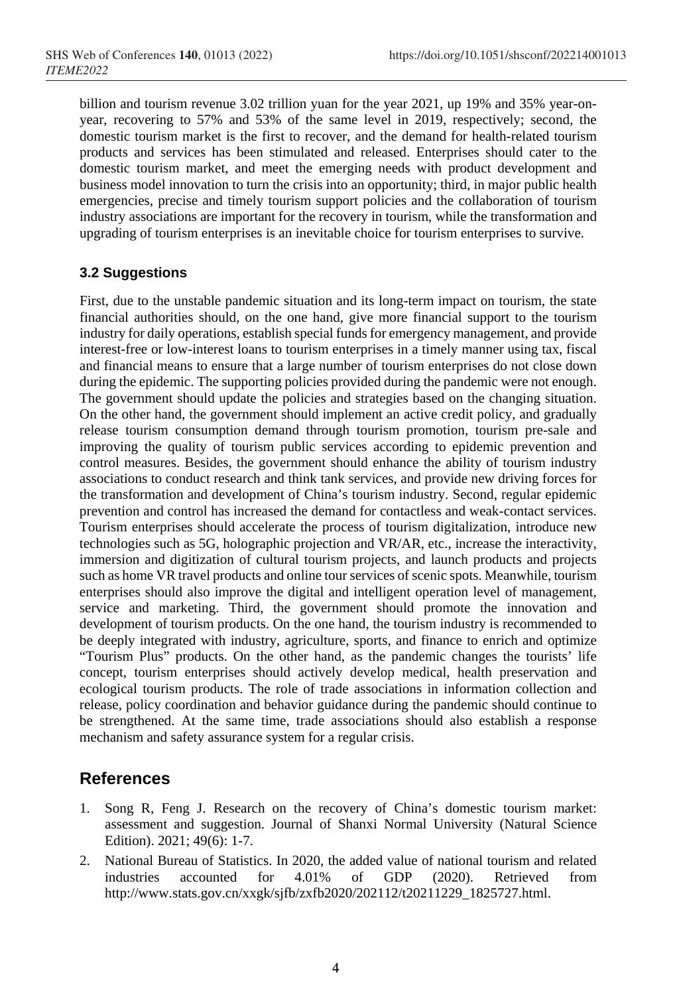billion and tourism revenue 3.02 trillion yuan for the year 2021, up 19% and 35% year-onyear, recovering to 57% and 53% of the same level in 2019, respectively; second, the domestic tourism market is the first to recover, and the demand for health-related tourism products and services has been stimulated and released. Enterprises should cater to the domestic tourism market, and meet the emerging needs with product development and business model innovation to turn the crisis into an opportunity; third, in major public health emergencies, precise and timely tourism support policies and the collaboration of tourism industry associations are important for the recovery in tourism, while the transformation and upgrading of tourism enterprises is an inevitable choice for tourism enterprises to survive.

### **3.2 Suggestions**

First, due to the unstable pandemic situation and its long-term impact on tourism, the state financial authorities should, on the one hand, give more financial support to the tourism industry for daily operations, establish special funds for emergency management, and provide interest-free or low-interest loans to tourism enterprises in a timely manner using tax, fiscal and financial means to ensure that a large number of tourism enterprises do not close down during the epidemic. The supporting policies provided during the pandemic were not enough. The government should update the policies and strategies based on the changing situation. On the other hand, the government should implement an active credit policy, and gradually release tourism consumption demand through tourism promotion, tourism pre-sale and improving the quality of tourism public services according to epidemic prevention and control measures. Besides, the government should enhance the ability of tourism industry associations to conduct research and think tank services, and provide new driving forces for the transformation and development of China's tourism industry. Second, regular epidemic prevention and control has increased the demand for contactless and weak-contact services. Tourism enterprises should accelerate the process of tourism digitalization, introduce new technologies such as 5G, holographic projection and VR/AR, etc., increase the interactivity, immersion and digitization of cultural tourism projects, and launch products and projects such as home VR travel products and online tourservices of scenic spots. Meanwhile, tourism enterprises should also improve the digital and intelligent operation level of management, service and marketing. Third, the government should promote the innovation and development of tourism products. On the one hand, the tourism industry is recommended to be deeply integrated with industry, agriculture, sports, and finance to enrich and optimize "Tourism Plus" products. On the other hand, as the pandemic changes the tourists' life concept, tourism enterprises should actively develop medical, health preservation and ecological tourism products. The role of trade associations in information collection and release, policy coordination and behavior guidance during the pandemic should continue to be strengthened. At the same time, trade associations should also establish a response mechanism and safety assurance system for a regular crisis.

# **References**

- 1. Song R, Feng J. Research on the recovery of China's domestic tourism market: assessment and suggestion. Journal of Shanxi Normal University (Natural Science Edition). 2021; 49(6): 1-7.
- 2. National Bureau of Statistics. In 2020, the added value of national tourism and related industries accounted for 4.01% of GDP (2020). Retrieved from http://www.stats.gov.cn/xxgk/sjfb/zxfb2020/202112/t20211229\_1825727.html.